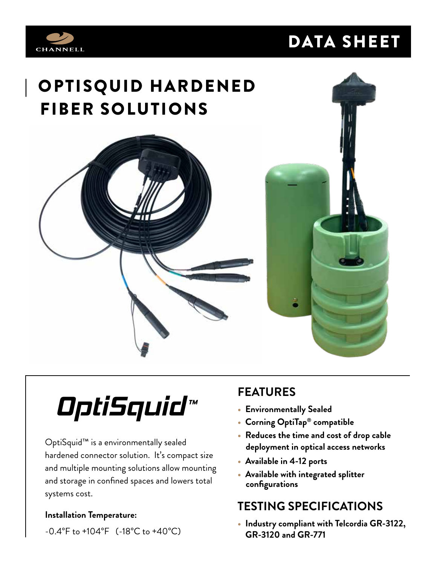## DATA SHEET



## | OPTISQUID HARDENED FIBER SOLUTIONS





# *OptiSquid ™*

OptiSquid™ is a environmentally sealed hardened connector solution. It's compact size and multiple mounting solutions allow mounting and storage in confined spaces and lowers total systems cost.

#### **Installation Temperature:**

-0.4°F to +104°F (-18°C to +40°C)

### **FEATURES**

- **Environmentally Sealed**
- **Corning OptiTap® compatible**
- **Reduces the time and cost of drop cable deployment in optical access networks**
- **Available in 4-12 ports**
- **Available with integrated splitter configurations**

#### **TESTING SPECIFICATIONS**

**• Industry compliant with Telcordia GR-3122, GR-3120 and GR-771**